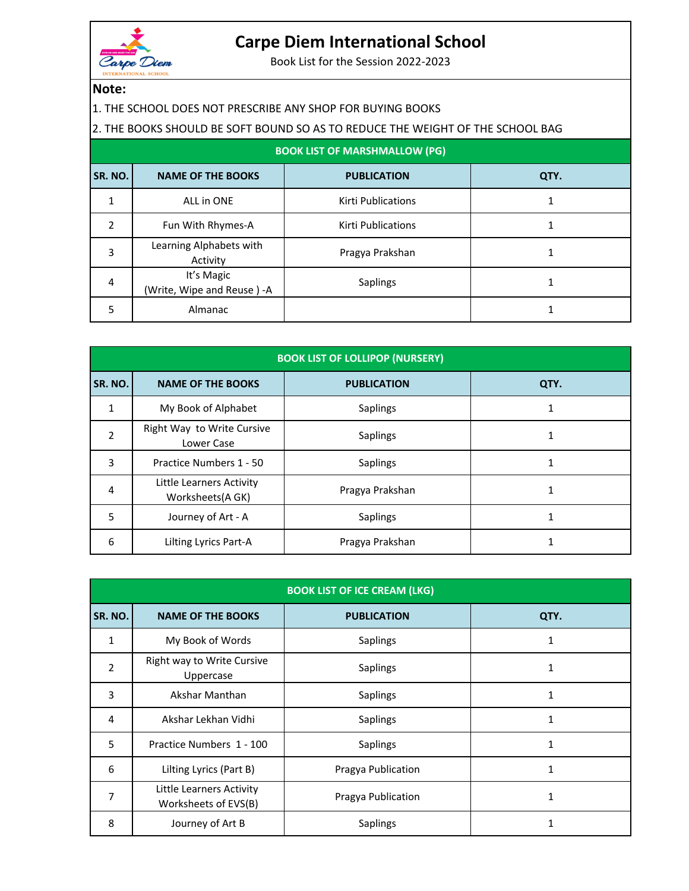

## **Carpe Diem International School**

Book List for the Session 2022-2023

## **Note:**

1. THE SCHOOL DOES NOT PRESCRIBE ANY SHOP FOR BUYING BOOKS

## 2. THE BOOKS SHOULD BE SOFT BOUND SO AS TO REDUCE THE WEIGHT OF THE SCHOOL BAG

| <b>BOOK LIST OF MARSHMALLOW (PG)</b> |                                          |                           |      |
|--------------------------------------|------------------------------------------|---------------------------|------|
| SR. NO.                              | <b>NAME OF THE BOOKS</b>                 | <b>PUBLICATION</b>        | QTY. |
| 1                                    | ALL in ONE                               | <b>Kirti Publications</b> |      |
| $\mathcal{P}$                        | Fun With Rhymes-A                        | <b>Kirti Publications</b> |      |
| 3                                    | Learning Alphabets with<br>Activity      | Pragya Prakshan           |      |
| 4                                    | It's Magic<br>(Write, Wipe and Reuse) -A | <b>Saplings</b>           |      |
| 5                                    | Almanac                                  |                           |      |

| <b>BOOK LIST OF LOLLIPOP (NURSERY)</b> |                                              |                    |      |  |
|----------------------------------------|----------------------------------------------|--------------------|------|--|
| SR. NO.                                | <b>NAME OF THE BOOKS</b>                     | <b>PUBLICATION</b> | QTY. |  |
|                                        | My Book of Alphabet                          | Saplings           |      |  |
| $\mathfrak z$                          | Right Way to Write Cursive<br>Lower Case     | <b>Saplings</b>    |      |  |
| 3                                      | Practice Numbers 1 - 50                      | Saplings           |      |  |
| 4                                      | Little Learners Activity<br>Worksheets(A GK) | Pragya Prakshan    |      |  |
| 5                                      | Journey of Art - A                           | Saplings           |      |  |
| 6                                      | Lilting Lyrics Part-A                        | Pragya Prakshan    |      |  |

| <b>BOOK LIST OF ICE CREAM (LKG)</b> |                                                  |                    |      |
|-------------------------------------|--------------------------------------------------|--------------------|------|
| SR. NO.                             | <b>NAME OF THE BOOKS</b>                         | <b>PUBLICATION</b> | QTY. |
| 1                                   | My Book of Words                                 | Saplings           | 1    |
| $\overline{2}$                      | Right way to Write Cursive<br>Uppercase          | Saplings           | 1    |
| 3                                   | Akshar Manthan                                   | Saplings           | 1    |
| 4                                   | Akshar Lekhan Vidhi                              | Saplings           | 1    |
| 5                                   | Practice Numbers 1 - 100                         | Saplings           | 1    |
| 6                                   | Lilting Lyrics (Part B)                          | Pragya Publication |      |
| 7                                   | Little Learners Activity<br>Worksheets of EVS(B) | Pragya Publication |      |
| 8                                   | Journey of Art B                                 | Saplings           |      |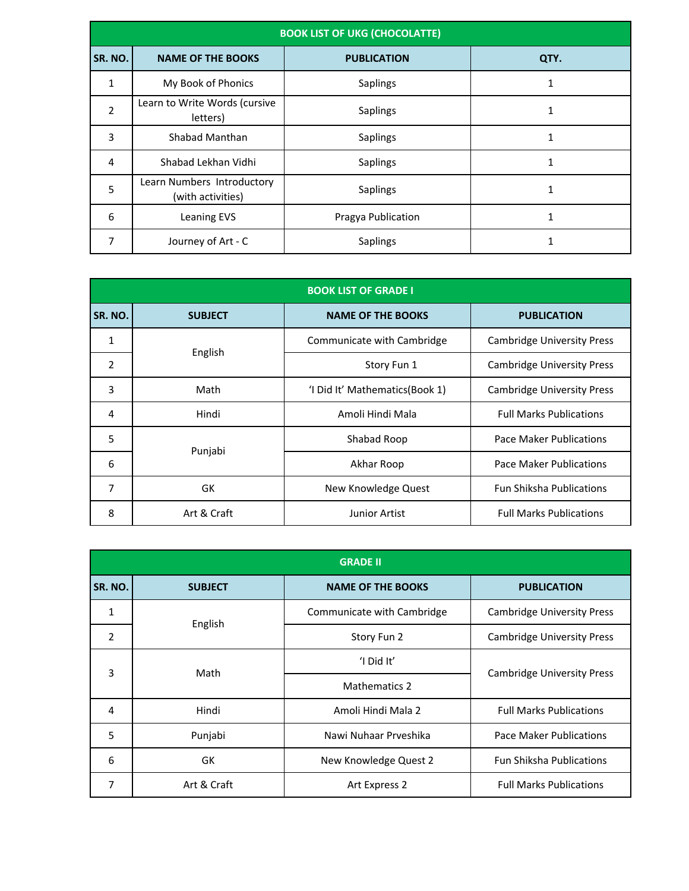| <b>BOOK LIST OF UKG (CHOCOLATTE)</b> |                                                 |                    |      |
|--------------------------------------|-------------------------------------------------|--------------------|------|
| SR. NO.                              | <b>NAME OF THE BOOKS</b>                        | <b>PUBLICATION</b> | QTY. |
| 1                                    | My Book of Phonics                              | <b>Saplings</b>    |      |
| $\overline{2}$                       | Learn to Write Words (cursive<br>letters)       | <b>Saplings</b>    |      |
| 3                                    | <b>Shabad Manthan</b>                           | <b>Saplings</b>    |      |
| 4                                    | Shabad Lekhan Vidhi                             | <b>Saplings</b>    |      |
| 5                                    | Learn Numbers Introductory<br>(with activities) | <b>Saplings</b>    |      |
| 6                                    | Leaning EVS                                     | Pragya Publication |      |
| 7                                    | Journey of Art - C                              | Saplings           |      |

| <b>BOOK LIST OF GRADE I</b> |                |                                |                                   |
|-----------------------------|----------------|--------------------------------|-----------------------------------|
| SR. NO.                     | <b>SUBJECT</b> | <b>NAME OF THE BOOKS</b>       | <b>PUBLICATION</b>                |
| 1                           |                | Communicate with Cambridge     | <b>Cambridge University Press</b> |
| $\overline{2}$              | English        | Story Fun 1                    | <b>Cambridge University Press</b> |
| 3                           | Math           | 'I Did It' Mathematics(Book 1) | <b>Cambridge University Press</b> |
| 4                           | Hindi          | Amoli Hindi Mala               | <b>Full Marks Publications</b>    |
| 5                           | Punjabi        | Shabad Roop                    | Pace Maker Publications           |
| 6                           |                | Akhar Roop                     | <b>Pace Maker Publications</b>    |
| 7                           | GK             | New Knowledge Quest            | <b>Fun Shiksha Publications</b>   |
| 8                           | Art & Craft    | <b>Junior Artist</b>           | <b>Full Marks Publications</b>    |

| <b>GRADE II</b> |                |                            |                                   |
|-----------------|----------------|----------------------------|-----------------------------------|
| SR. NO.         | <b>SUBJECT</b> | <b>NAME OF THE BOOKS</b>   | <b>PUBLICATION</b>                |
| 1               |                | Communicate with Cambridge | <b>Cambridge University Press</b> |
| $\overline{2}$  | English        | Story Fun 2                | <b>Cambridge University Press</b> |
| 3               | Math           | $'$ l Did It'              |                                   |
|                 |                | <b>Mathematics 2</b>       | <b>Cambridge University Press</b> |
| 4               | Hindi          | Amoli Hindi Mala 2         | <b>Full Marks Publications</b>    |
| 5               | Punjabi        | Nawi Nuhaar Prveshika      | <b>Pace Maker Publications</b>    |
| 6               | GK             | New Knowledge Quest 2      | <b>Fun Shiksha Publications</b>   |
| 7               | Art & Craft    | Art Express 2              | <b>Full Marks Publications</b>    |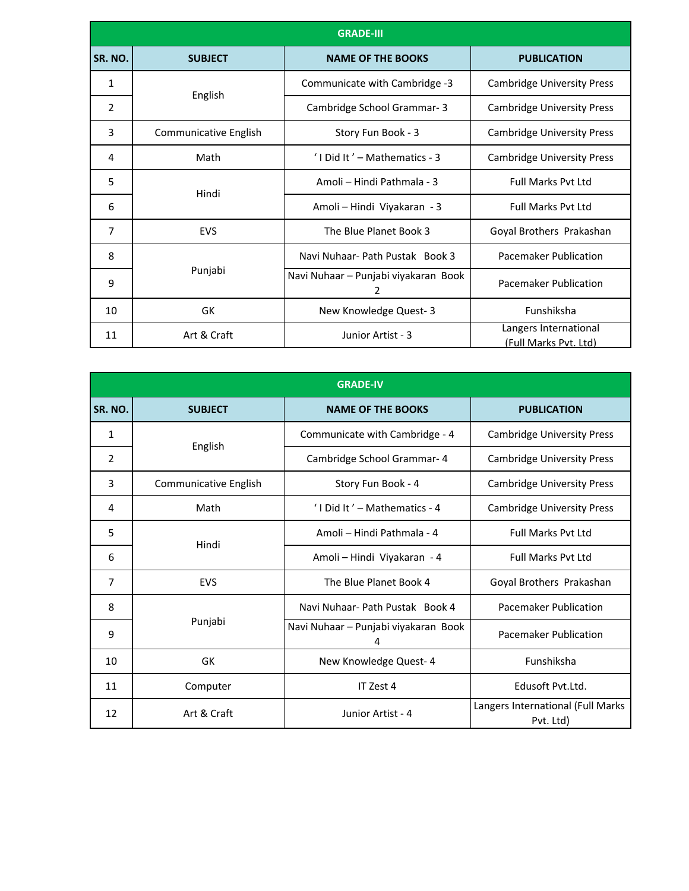| <b>GRADE-III</b> |                       |                                           |                                                       |
|------------------|-----------------------|-------------------------------------------|-------------------------------------------------------|
| SR. NO.          | <b>SUBJECT</b>        | <b>NAME OF THE BOOKS</b>                  | <b>PUBLICATION</b>                                    |
| 1                |                       | Communicate with Cambridge -3             | <b>Cambridge University Press</b>                     |
| $\overline{2}$   | English               | Cambridge School Grammar- 3               | <b>Cambridge University Press</b>                     |
| 3                | Communicative English | Story Fun Book - 3                        | <b>Cambridge University Press</b>                     |
| 4                | Math                  | ' I Did It ' - Mathematics - 3            | <b>Cambridge University Press</b>                     |
| 5                | Hindi                 | Amoli – Hindi Pathmala - 3                | <b>Full Marks Pyt Ltd</b>                             |
| 6                |                       | Amoli - Hindi Viyakaran - 3               | <b>Full Marks Pvt Ltd</b>                             |
| 7                | <b>EVS</b>            | The Blue Planet Book 3                    | Goyal Brothers Prakashan                              |
| 8                |                       | Navi Nuhaar-Path Pustak Book 3            | <b>Pacemaker Publication</b>                          |
| 9                | Punjabi               | Navi Nuhaar – Punjabi viyakaran Book<br>2 | <b>Pacemaker Publication</b>                          |
| 10               | <b>GK</b>             | New Knowledge Quest-3                     | Funshiksha                                            |
| 11               | Art & Craft           | Junior Artist - 3                         | Langers International<br><u>(Full Marks Pvt. Ltd)</u> |

| <b>GRADE-IV</b> |                       |                                           |                                                |
|-----------------|-----------------------|-------------------------------------------|------------------------------------------------|
| SR. NO.         | <b>SUBJECT</b>        | <b>NAME OF THE BOOKS</b>                  | <b>PUBLICATION</b>                             |
| 1               | English               | Communicate with Cambridge - 4            | <b>Cambridge University Press</b>              |
| 2               |                       | Cambridge School Grammar- 4               | <b>Cambridge University Press</b>              |
| 3               | Communicative English | Story Fun Book - 4                        | <b>Cambridge University Press</b>              |
| 4               | Math                  | ' I Did It ' - Mathematics - 4            | <b>Cambridge University Press</b>              |
| 5               | Hindi                 | Amoli - Hindi Pathmala - 4                | <b>Full Marks Pyt Ltd</b>                      |
| 6               |                       | Amoli - Hindi Viyakaran - 4               | <b>Full Marks Pyt Ltd</b>                      |
| $\overline{7}$  | <b>EVS</b>            | The Blue Planet Book 4                    | Goyal Brothers Prakashan                       |
| 8               |                       | Navi Nuhaar- Path Pustak Book 4           | Pacemaker Publication                          |
| 9               | Punjabi               | Navi Nuhaar - Punjabi viyakaran Book<br>4 | <b>Pacemaker Publication</b>                   |
| 10              | GK                    | New Knowledge Quest- 4                    | Funshiksha                                     |
| 11              | Computer              | IT Zest 4                                 | Edusoft Pyt.Ltd.                               |
| 12              | Art & Craft           | Junior Artist - 4                         | Langers International (Full Marks<br>Pvt. Ltd) |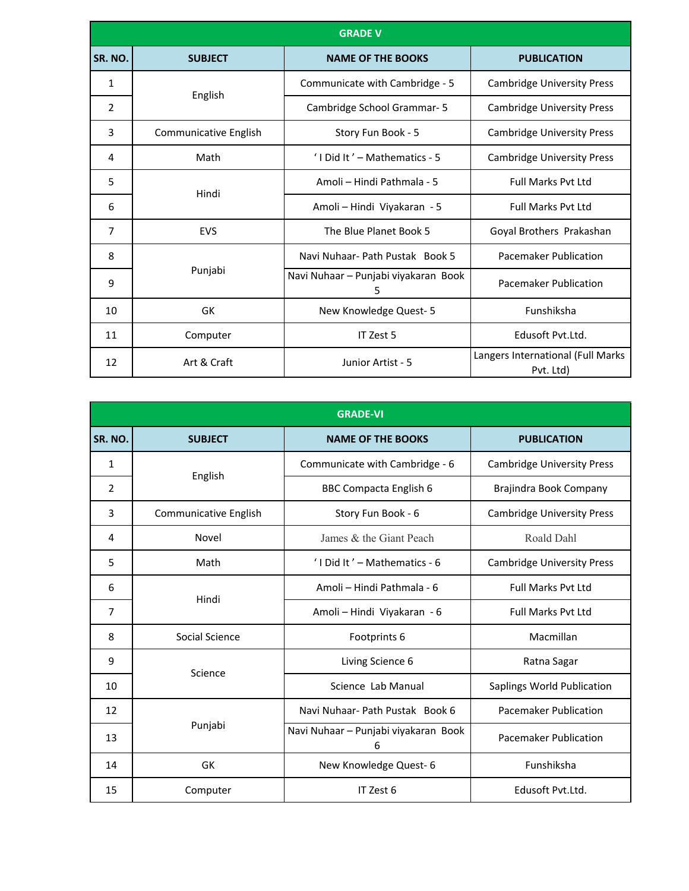| <b>GRADE V</b> |                       |                                           |                                                |
|----------------|-----------------------|-------------------------------------------|------------------------------------------------|
| SR. NO.        | <b>SUBJECT</b>        | <b>NAME OF THE BOOKS</b>                  | <b>PUBLICATION</b>                             |
| 1              |                       | Communicate with Cambridge - 5            | <b>Cambridge University Press</b>              |
| $\overline{2}$ | English               | Cambridge School Grammar- 5               | <b>Cambridge University Press</b>              |
| 3              | Communicative English | Story Fun Book - 5                        | <b>Cambridge University Press</b>              |
| 4              | Math                  | ' I Did It ' - Mathematics - 5            | <b>Cambridge University Press</b>              |
| 5              | Hindi                 | Amoli - Hindi Pathmala - 5                | <b>Full Marks Pyt Ltd</b>                      |
| 6              |                       | Amoli - Hindi Viyakaran - 5               | <b>Full Marks Pyt Ltd</b>                      |
| $\overline{7}$ | <b>EVS</b>            | The Blue Planet Book 5                    | Goyal Brothers Prakashan                       |
| 8              |                       | Navi Nuhaar- Path Pustak Book 5           | <b>Pacemaker Publication</b>                   |
| 9              | Punjabi               | Navi Nuhaar - Punjabi viyakaran Book<br>5 | Pacemaker Publication                          |
| 10             | GK                    | New Knowledge Quest-5                     | Funshiksha                                     |
| 11             | Computer              | IT Zest 5                                 | Edusoft Pvt.Ltd.                               |
| 12             | Art & Craft           | Junior Artist - 5                         | Langers International (Full Marks<br>Pvt. Ltd) |

| <b>GRADE-VI</b> |                       |                                           |                                   |
|-----------------|-----------------------|-------------------------------------------|-----------------------------------|
| SR. NO.         | <b>SUBJECT</b>        | <b>NAME OF THE BOOKS</b>                  | <b>PUBLICATION</b>                |
| 1               | English               | Communicate with Cambridge - 6            | <b>Cambridge University Press</b> |
| $\overline{2}$  |                       | <b>BBC Compacta English 6</b>             | Brajindra Book Company            |
| 3               | Communicative English | Story Fun Book - 6                        | <b>Cambridge University Press</b> |
| 4               | Novel                 | James & the Giant Peach                   | Roald Dahl                        |
| 5               | Math                  | ' I Did It' - Mathematics - 6             | <b>Cambridge University Press</b> |
| 6               |                       | Amoli - Hindi Pathmala - 6                | <b>Full Marks Pvt Ltd</b>         |
| 7               | Hindi                 | Amoli - Hindi Viyakaran - 6               | <b>Full Marks Pyt Ltd</b>         |
| 8               | Social Science        | Footprints 6                              | Macmillan                         |
| 9               | Science               | Living Science 6                          | Ratna Sagar                       |
| 10              |                       | Science Lab Manual                        | <b>Saplings World Publication</b> |
| 12              |                       | Navi Nuhaar-Path Pustak Book 6            | <b>Pacemaker Publication</b>      |
| 13              | Punjabi               | Navi Nuhaar - Punjabi viyakaran Book<br>6 | Pacemaker Publication             |
| 14              | GK                    | New Knowledge Quest-6                     | Funshiksha                        |
| 15              | Computer              | IT Zest 6                                 | Edusoft Pvt.Ltd.                  |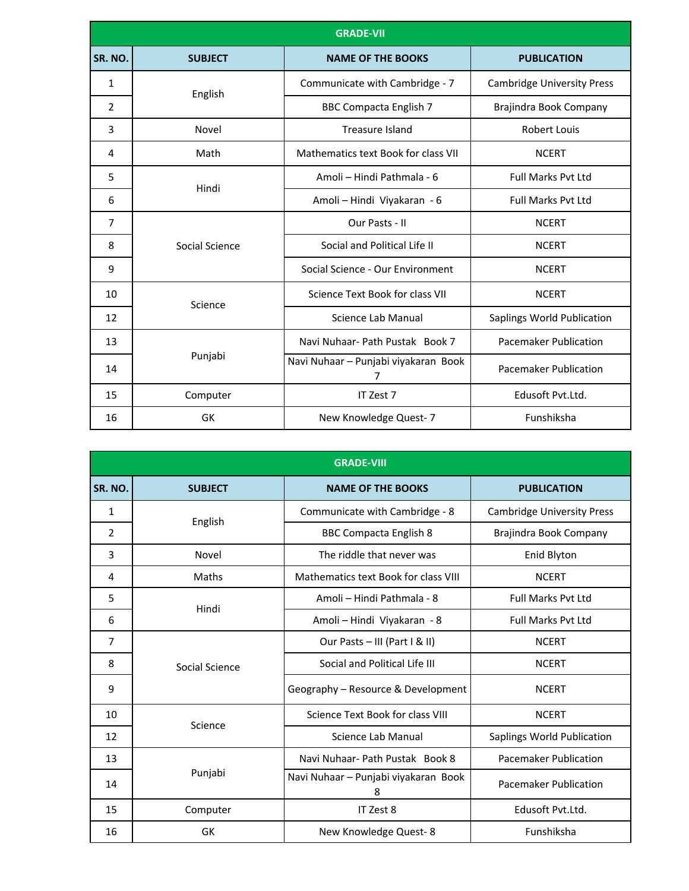| <b>GRADE-VII</b> |                |                                      |                                   |
|------------------|----------------|--------------------------------------|-----------------------------------|
| SR. NO.          | <b>SUBJECT</b> | <b>NAME OF THE BOOKS</b>             | <b>PUBLICATION</b>                |
| $\mathbf{1}$     | English        | Communicate with Cambridge - 7       | <b>Cambridge University Press</b> |
| $\overline{2}$   |                | <b>BBC Compacta English 7</b>        | Brajindra Book Company            |
| 3                | Novel          | Treasure Island                      | <b>Robert Louis</b>               |
| 4                | Math           | Mathematics text Book for class VII  | <b>NCERT</b>                      |
| 5                | Hindi          | Amoli - Hindi Pathmala - 6           | <b>Full Marks Pyt Ltd</b>         |
| 6                |                | Amoli - Hindi Viyakaran - 6          | <b>Full Marks Pyt Ltd</b>         |
| $\overline{7}$   |                | Our Pasts - II                       | <b>NCERT</b>                      |
| 8                | Social Science | Social and Political Life II         | <b>NCERT</b>                      |
| 9                |                | Social Science - Our Environment     | <b>NCERT</b>                      |
| 10               | Science        | Science Text Book for class VII      | <b>NCERT</b>                      |
| 12               |                | Science Lab Manual                   | Saplings World Publication        |
| 13               |                | Navi Nuhaar- Path Pustak Book 7      | Pacemaker Publication             |
| 14               | Punjabi        | Navi Nuhaar - Punjabi viyakaran Book | Pacemaker Publication             |
| 15               | Computer       | IT Zest 7                            | Edusoft Pvt.Ltd.                  |
| 16               | <b>GK</b>      | New Knowledge Quest- 7               | Funshiksha                        |

| <b>GRADE-VIII</b> |                |                                           |                                   |
|-------------------|----------------|-------------------------------------------|-----------------------------------|
| SR. NO.           | <b>SUBJECT</b> | <b>NAME OF THE BOOKS</b>                  | <b>PUBLICATION</b>                |
| $\mathbf{1}$      |                | Communicate with Cambridge - 8            | <b>Cambridge University Press</b> |
| 2                 | English        | <b>BBC Compacta English 8</b>             | Brajindra Book Company            |
| 3                 | Novel          | The riddle that never was                 | Enid Blyton                       |
| 4                 | Maths          | Mathematics text Book for class VIII      | <b>NCERT</b>                      |
| 5                 | Hindi          | Amoli - Hindi Pathmala - 8                | <b>Full Marks Pyt Ltd</b>         |
| 6                 |                | Amoli - Hindi Viyakaran - 8               | <b>Full Marks Pyt Ltd</b>         |
| $\overline{7}$    |                | Our Pasts - III (Part I & II)             | <b>NCERT</b>                      |
| 8                 | Social Science | Social and Political Life III             | <b>NCERT</b>                      |
| 9                 |                | Geography - Resource & Development        | <b>NCERT</b>                      |
| 10                | Science        | Science Text Book for class VIII          | <b>NCERT</b>                      |
| 12                |                | Science Lab Manual                        | Saplings World Publication        |
| 13                |                | Navi Nuhaar- Path Pustak Book 8           | <b>Pacemaker Publication</b>      |
| 14                | Punjabi        | Navi Nuhaar - Punjabi viyakaran Book<br>8 | Pacemaker Publication             |
| 15                | Computer       | IT Zest 8                                 | Edusoft Pvt.Ltd.                  |
| 16                | GK             | New Knowledge Quest-8                     | Funshiksha                        |